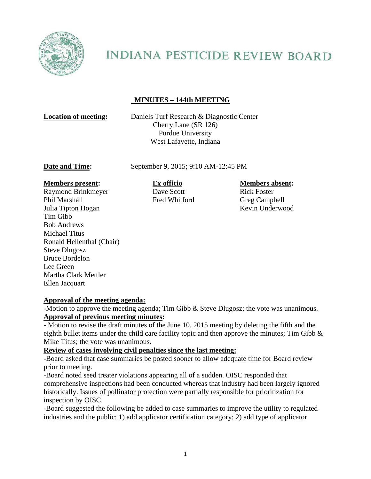

# **INDIANA PESTICIDE REVIEW BOARD**

## **MINUTES – 144th MEETING**

**Location of meeting:** Daniels Turf Research & Diagnostic Center Cherry Lane (SR 126) Purdue University West Lafayette, Indiana

**Date and Time:** September 9, 2015; 9:10 AM-12:45 PM

#### **Members present: Ex officio Members absent:**

Raymond Brinkmeyer Dave Scott Rick Foster Phil Marshall Fred Whitford Greg Campbell Julia Tipton Hogan Kevin Underwood Tim Gibb Bob Andrews Michael Titus Ronald Hellenthal (Chair) Steve Dlugosz Bruce Bordelon Lee Green Martha Clark Mettler Ellen Jacquart

### **Approval of the meeting agenda:**

-Motion to approve the meeting agenda; Tim Gibb & Steve Dlugosz; the vote was unanimous. **Approval of previous meeting minutes:**

- Motion to revise the draft minutes of the June 10, 2015 meeting by deleting the fifth and the eighth bullet items under the child care facility topic and then approve the minutes; Tim Gibb & Mike Titus; the vote was unanimous.

### **Review of cases involving civil penalties since the last meeting:**

-Board asked that case summaries be posted sooner to allow adequate time for Board review prior to meeting.

-Board noted seed treater violations appearing all of a sudden. OISC responded that comprehensive inspections had been conducted whereas that industry had been largely ignored historically. Issues of pollinator protection were partially responsible for prioritization for inspection by OISC.

-Board suggested the following be added to case summaries to improve the utility to regulated industries and the public: 1) add applicator certification category; 2) add type of applicator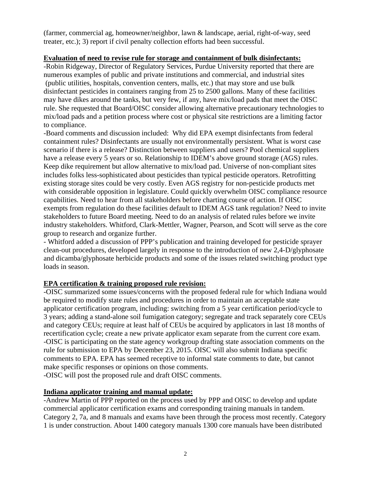(farmer, commercial ag, homeowner/neighbor, lawn & landscape, aerial, right-of-way, seed treater, etc.); 3) report if civil penalty collection efforts had been successful.

#### **Evaluation of need to revise rule for storage and containment of bulk disinfectants:**

-Robin Ridgeway, Director of Regulatory Services, Purdue University reported that there are numerous examples of public and private institutions and commercial, and industrial sites (public utilities, hospitals, convention centers, malls, etc.) that may store and use bulk disinfectant pesticides in containers ranging from 25 to 2500 gallons. Many of these facilities may have dikes around the tanks, but very few, if any, have mix/load pads that meet the OISC rule. She requested that Board/OISC consider allowing alternative precautionary technologies to mix/load pads and a petition process where cost or physical site restrictions are a limiting factor to compliance.

-Board comments and discussion included: Why did EPA exempt disinfectants from federal containment rules? Disinfectants are usually not environmentally persistent. What is worst case scenario if there is a release? Distinction between suppliers and users? Pool chemical suppliers have a release every 5 years or so. Relationship to IDEM's above ground storage (AGS) rules. Keep dike requirement but allow alternative to mix/load pad. Universe of non-compliant sites includes folks less-sophisticated about pesticides than typical pesticide operators. Retrofitting existing storage sites could be very costly. Even AGS registry for non-pesticide products met with considerable opposition in legislature. Could quickly overwhelm OISC compliance resource capabilities. Need to hear from all stakeholders before charting course of action. If OISC exempts from regulation do these facilities default to IDEM AGS tank regulation? Need to invite stakeholders to future Board meeting. Need to do an analysis of related rules before we invite industry stakeholders. Whitford, Clark-Mettler, Wagner, Pearson, and Scott will serve as the core group to research and organize further.

- Whitford added a discussion of PPP's publication and training developed for pesticide sprayer clean-out procedures, developed largely in response to the introduction of new 2,4-D/glyphosate and dicamba/glyphosate herbicide products and some of the issues related switching product type loads in season.

### **EPA certification & training proposed rule revision:**

-OISC summarized some issues/concerns with the proposed federal rule for which Indiana would be required to modify state rules and procedures in order to maintain an acceptable state applicator certification program, including: switching from a 5 year certification period/cycle to 3 years; adding a stand-alone soil fumigation category; segregate and track separately core CEUs and category CEUs; require at least half of CEUs be acquired by applicators in last 18 months of recertification cycle; create a new private applicator exam separate from the current core exam. -OISC is participating on the state agency workgroup drafting state association comments on the rule for submission to EPA by December 23, 2015. OISC will also submit Indiana specific comments to EPA. EPA has seemed receptive to informal state comments to date, but cannot make specific responses or opinions on those comments.

-OISC will post the proposed rule and draft OISC comments.

#### **Indiana applicator training and manual update:**

-Andrew Martin of PPP reported on the process used by PPP and OISC to develop and update commercial applicator certification exams and corresponding training manuals in tandem. Category 2, 7a, and 8 manuals and exams have been through the process most recently. Category 1 is under construction. About 1400 category manuals 1300 core manuals have been distributed